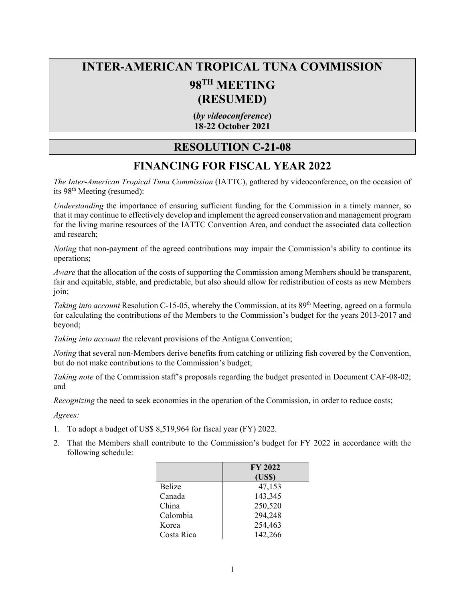## **INTER-AMERICAN TROPICAL TUNA COMMISSION 98TH MEETING (RESUMED)**

**(***by videoconference***) 18-22 October 2021**

## **RESOLUTION C-21-08**

## **FINANCING FOR FISCAL YEAR 2022**

*The Inter-American Tropical Tuna Commission* (IATTC), gathered by videoconference, on the occasion of its 98th Meeting (resumed):

*Understanding* the importance of ensuring sufficient funding for the Commission in a timely manner, so that it may continue to effectively develop and implement the agreed conservation and management program for the living marine resources of the IATTC Convention Area, and conduct the associated data collection and research;

*Noting* that non-payment of the agreed contributions may impair the Commission's ability to continue its operations;

*Aware* that the allocation of the costs of supporting the Commission among Members should be transparent, fair and equitable, stable, and predictable, but also should allow for redistribution of costs as new Members join;

*Taking into account* Resolution C-15-05, whereby the Commission, at its 89<sup>th</sup> Meeting, agreed on a formula for calculating the contributions of the Members to the Commission's budget for the years 2013-2017 and beyond;

*Taking into account* the relevant provisions of the Antigua Convention;

*Noting* that several non-Members derive benefits from catching or utilizing fish covered by the Convention, but do not make contributions to the Commission's budget;

*Taking note* of the Commission staff's proposals regarding the budget presented in Document CAF-08-02; and

*Recognizing* the need to seek economies in the operation of the Commission, in order to reduce costs;

*Agrees:*

- 1. To adopt a budget of US\$ 8,519,964 for fiscal year (FY) 2022.
- 2. That the Members shall contribute to the Commission's budget for FY 2022 in accordance with the following schedule:

|               | <b>FY 2022</b> |
|---------------|----------------|
|               | (US\$)         |
| <b>Belize</b> | 47,153         |
| Canada        | 143,345        |
| China         | 250,520        |
| Colombia      | 294,248        |
| Korea         | 254,463        |
| Costa Rica    | 142,266        |